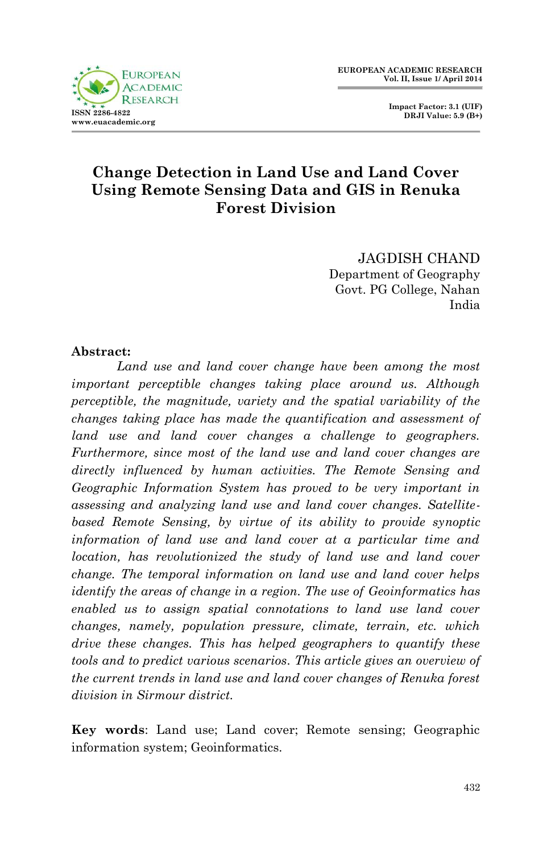

 **Impact Factor: 3.1 (UIF) DRJI Value: 5.9 (B+)**

# **Change Detection in Land Use and Land Cover Using Remote Sensing Data and GIS in Renuka Forest Division**

JAGDISH CHAND Department of Geography Govt. PG College, Nahan India

### **Abstract:**

*Land use and land cover change have been among the most important perceptible changes taking place around us. Although perceptible, the magnitude, variety and the spatial variability of the changes taking place has made the quantification and assessment of land use and land cover changes a challenge to geographers. Furthermore, since most of the land use and land cover changes are directly influenced by human activities. The Remote Sensing and Geographic Information System has proved to be very important in assessing and analyzing land use and land cover changes. Satellitebased Remote Sensing, by virtue of its ability to provide synoptic information of land use and land cover at a particular time and location, has revolutionized the study of land use and land cover change. The temporal information on land use and land cover helps identify the areas of change in a region. The use of Geoinformatics has enabled us to assign spatial connotations to land use land cover changes, namely, population pressure, climate, terrain, etc. which drive these changes. This has helped geographers to quantify these tools and to predict various scenarios. This article gives an overview of the current trends in land use and land cover changes of Renuka forest division in Sirmour district.*

**Key words**: Land use; Land cover; Remote sensing; Geographic information system; Geoinformatics.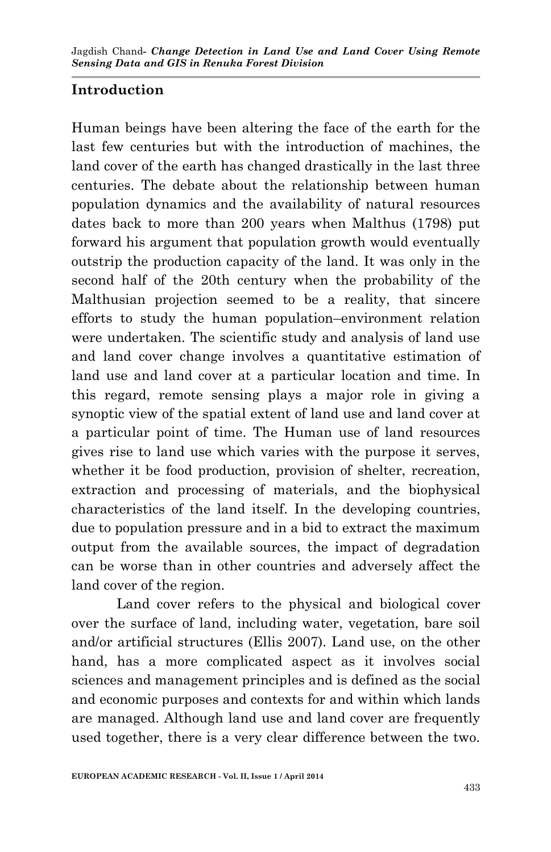# **Introduction**

Human beings have been altering the face of the earth for the last few centuries but with the introduction of machines, the land cover of the earth has changed drastically in the last three centuries. The debate about the relationship between human population dynamics and the availability of natural resources dates back to more than 200 years when Malthus (1798) put forward his argument that population growth would eventually outstrip the production capacity of the land. It was only in the second half of the 20th century when the probability of the Malthusian projection seemed to be a reality, that sincere efforts to study the human population–environment relation were undertaken. The scientific study and analysis of land use and land cover change involves a quantitative estimation of land use and land cover at a particular location and time. In this regard, remote sensing plays a major role in giving a synoptic view of the spatial extent of land use and land cover at a particular point of time. The Human use of land resources gives rise to land use which varies with the purpose it serves, whether it be food production, provision of shelter, recreation, extraction and processing of materials, and the biophysical characteristics of the land itself. In the developing countries, due to population pressure and in a bid to extract the maximum output from the available sources, the impact of degradation can be worse than in other countries and adversely affect the land cover of the region.

Land cover refers to the physical and biological cover over the surface of land, including water, vegetation, bare soil and/or artificial structures (Ellis 2007). Land use, on the other hand, has a more complicated aspect as it involves social sciences and management principles and is defined as the social and economic purposes and contexts for and within which lands are managed. Although land use and land cover are frequently used together, there is a very clear difference between the two.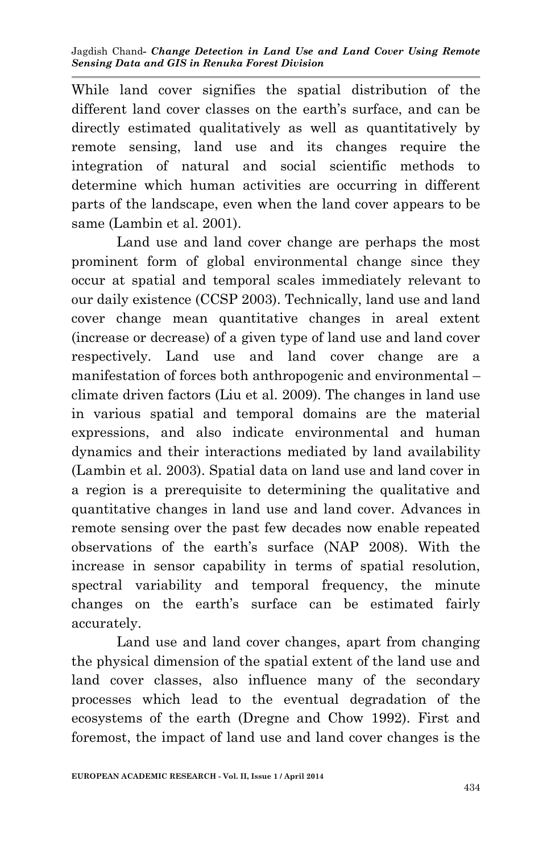While land cover signifies the spatial distribution of the different land cover classes on the earth's surface, and can be directly estimated qualitatively as well as quantitatively by remote sensing, land use and its changes require the integration of natural and social scientific methods to determine which human activities are occurring in different parts of the landscape, even when the land cover appears to be same (Lambin et al. 2001).

Land use and land cover change are perhaps the most prominent form of global environmental change since they occur at spatial and temporal scales immediately relevant to our daily existence (CCSP 2003). Technically, land use and land cover change mean quantitative changes in areal extent (increase or decrease) of a given type of land use and land cover respectively. Land use and land cover change are a manifestation of forces both anthropogenic and environmental – climate driven factors (Liu et al. 2009). The changes in land use in various spatial and temporal domains are the material expressions, and also indicate environmental and human dynamics and their interactions mediated by land availability (Lambin et al. 2003). Spatial data on land use and land cover in a region is a prerequisite to determining the qualitative and quantitative changes in land use and land cover. Advances in remote sensing over the past few decades now enable repeated observations of the earth's surface (NAP 2008). With the increase in sensor capability in terms of spatial resolution, spectral variability and temporal frequency, the minute changes on the earth's surface can be estimated fairly accurately.

Land use and land cover changes, apart from changing the physical dimension of the spatial extent of the land use and land cover classes, also influence many of the secondary processes which lead to the eventual degradation of the ecosystems of the earth (Dregne and Chow 1992). First and foremost, the impact of land use and land cover changes is the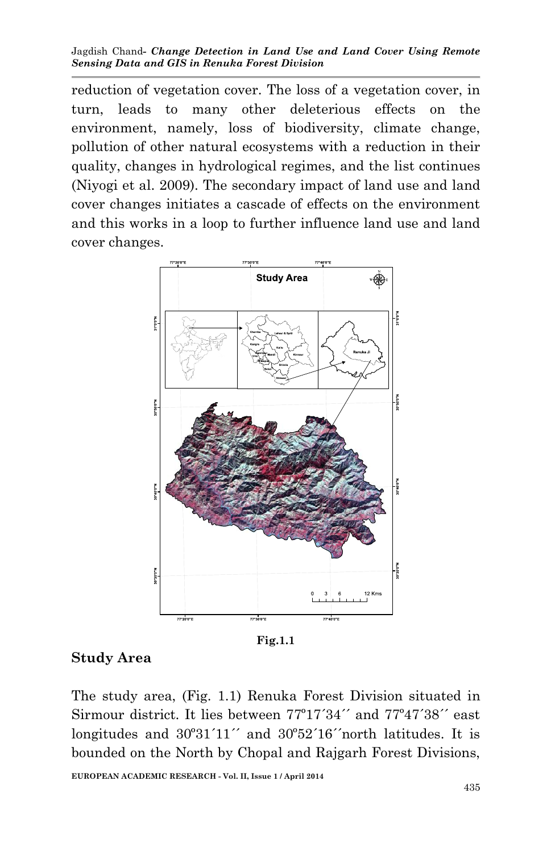reduction of vegetation cover. The loss of a vegetation cover, in turn, leads to many other deleterious effects on the environment, namely, loss of biodiversity, climate change, pollution of other natural ecosystems with a reduction in their quality, changes in hydrological regimes, and the list continues (Niyogi et al. 2009). The secondary impact of land use and land cover changes initiates a cascade of effects on the environment and this works in a loop to further influence land use and land cover changes.



**Fig.1.1**

## **Study Area**

The study area, (Fig. 1.1) Renuka Forest Division situated in Sirmour district. It lies between 77º17´34´´ and 77º47´38´´ east longitudes and  $30^{\circ}31'11''$  and  $30^{\circ}52'16''$  north latitudes. It is bounded on the North by Chopal and Rajgarh Forest Divisions,

**EUROPEAN ACADEMIC RESEARCH - Vol. II, Issue 1 / April 2014**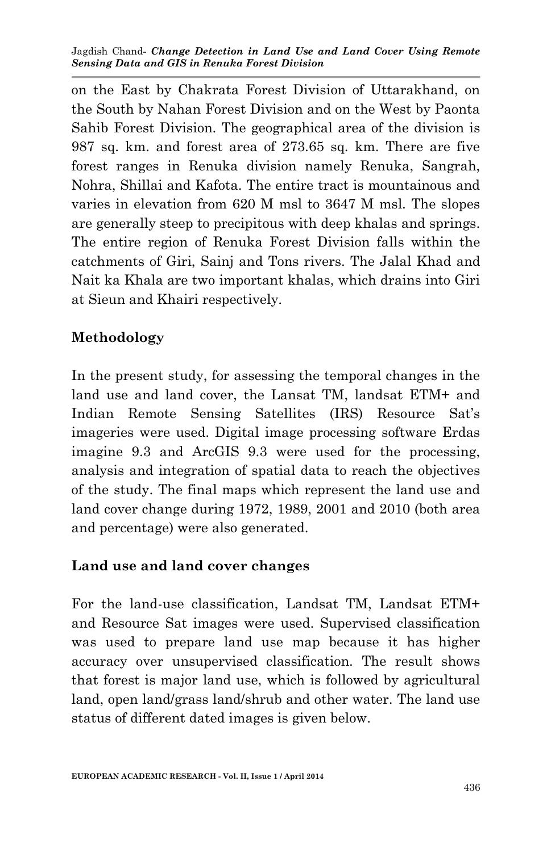on the East by Chakrata Forest Division of Uttarakhand, on the South by Nahan Forest Division and on the West by Paonta Sahib Forest Division. The geographical area of the division is 987 sq. km. and forest area of 273.65 sq. km. There are five forest ranges in Renuka division namely Renuka, Sangrah, Nohra, Shillai and Kafota. The entire tract is mountainous and varies in elevation from 620 M msl to 3647 M msl. The slopes are generally steep to precipitous with deep khalas and springs. The entire region of Renuka Forest Division falls within the catchments of Giri, Sainj and Tons rivers. The Jalal Khad and Nait ka Khala are two important khalas, which drains into Giri at Sieun and Khairi respectively.

# **Methodology**

In the present study, for assessing the temporal changes in the land use and land cover, the Lansat TM, landsat ETM+ and Indian Remote Sensing Satellites (IRS) Resource Sat's imageries were used. Digital image processing software Erdas imagine 9.3 and ArcGIS 9.3 were used for the processing, analysis and integration of spatial data to reach the objectives of the study. The final maps which represent the land use and land cover change during 1972, 1989, 2001 and 2010 (both area and percentage) were also generated.

# **Land use and land cover changes**

For the land-use classification, Landsat TM, Landsat ETM+ and Resource Sat images were used. Supervised classification was used to prepare land use map because it has higher accuracy over unsupervised classification. The result shows that forest is major land use, which is followed by agricultural land, open land/grass land/shrub and other water. The land use status of different dated images is given below.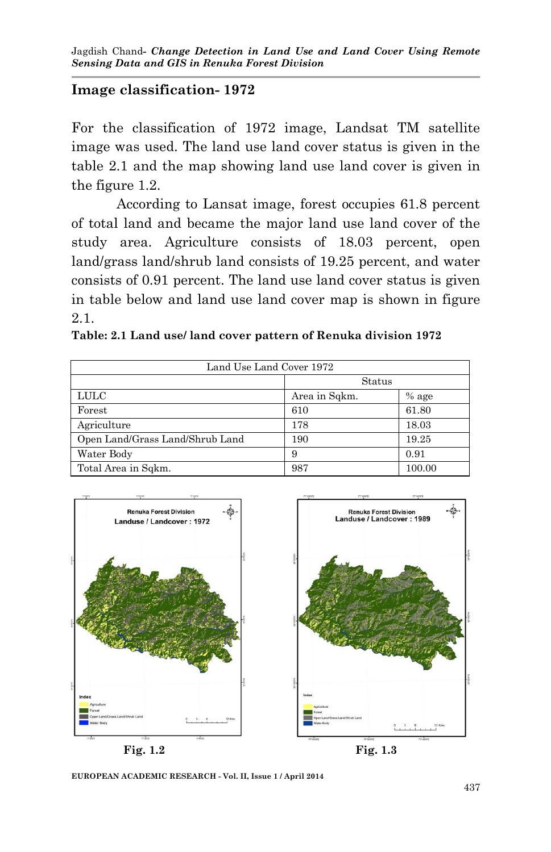## **Image classification- 1972**

For the classification of 1972 image, Landsat TM satellite image was used. The land use land cover status is given in the table 2.1 and the map showing land use land cover is given in the figure 1.2.

According to Lansat image, forest occupies 61.8 percent of total land and became the major land use land cover of the study area. Agriculture consists of 18.03 percent, open land/grass land/shrub land consists of 19.25 percent, and water consists of 0.91 percent. The land use land cover status is given in table below and land use land cover map is shown in figure 2.1.

| Land Use Land Cover 1972        |               |         |  |  |  |  |
|---------------------------------|---------------|---------|--|--|--|--|
|                                 | Status        |         |  |  |  |  |
| <b>LULC</b>                     | Area in Sqkm. | $%$ age |  |  |  |  |
| Forest                          | 610           | 61.80   |  |  |  |  |
| Agriculture                     | 178           | 18.03   |  |  |  |  |
| Open Land/Grass Land/Shrub Land | 190           | 19.25   |  |  |  |  |
| Water Body                      | 9             | 0.91    |  |  |  |  |
| Total Area in Sqkm.             | 987           | 100.00  |  |  |  |  |





**EUROPEAN ACADEMIC RESEARCH - Vol. II, Issue 1 / April 2014**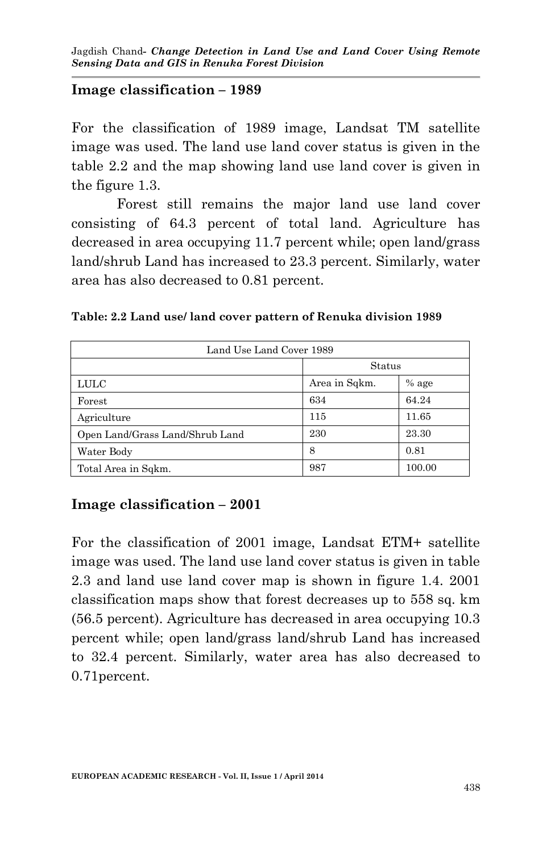## **Image classification – 1989**

For the classification of 1989 image, Landsat TM satellite image was used. The land use land cover status is given in the table 2.2 and the map showing land use land cover is given in the figure 1.3.

Forest still remains the major land use land cover consisting of 64.3 percent of total land. Agriculture has decreased in area occupying 11.7 percent while; open land/grass land/shrub Land has increased to 23.3 percent. Similarly, water area has also decreased to 0.81 percent.

**Table: 2.2 Land use/ land cover pattern of Renuka division 1989**

| Land Use Land Cover 1989        |               |         |  |  |  |
|---------------------------------|---------------|---------|--|--|--|
|                                 | Status        |         |  |  |  |
| <b>LULC</b>                     | Area in Sqkm. | $%$ age |  |  |  |
| Forest                          | 634           | 64.24   |  |  |  |
| Agriculture                     | 115           | 11.65   |  |  |  |
| Open Land/Grass Land/Shrub Land | 230           | 23.30   |  |  |  |
| Water Body                      | 8             | 0.81    |  |  |  |
| Total Area in Sqkm.             | 987           | 100.00  |  |  |  |

## **Image classification – 2001**

For the classification of 2001 image, Landsat ETM+ satellite image was used. The land use land cover status is given in table 2.3 and land use land cover map is shown in figure 1.4. 2001 classification maps show that forest decreases up to 558 sq. km (56.5 percent). Agriculture has decreased in area occupying 10.3 percent while; open land/grass land/shrub Land has increased to 32.4 percent. Similarly, water area has also decreased to 0.71percent.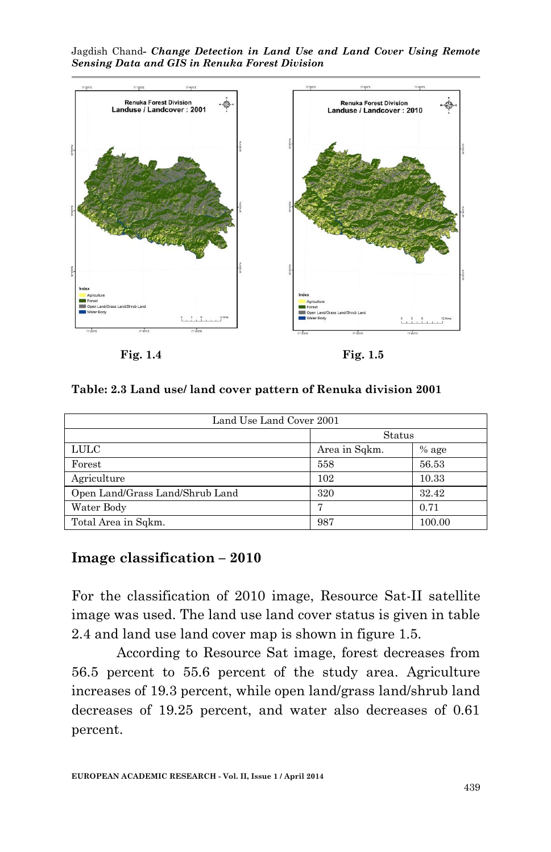Jagdish Chand*- Change Detection in Land Use and Land Cover Using Remote Sensing Data and GIS in Renuka Forest Division*



 **Fig. 1.4 Fig. 1.5**

**Table: 2.3 Land use/ land cover pattern of Renuka division 2001**

| Land Use Land Cover 2001        |               |         |  |  |  |
|---------------------------------|---------------|---------|--|--|--|
|                                 | Status        |         |  |  |  |
| <b>LULC</b>                     | Area in Sqkm. | $%$ age |  |  |  |
| Forest                          | 558           | 56.53   |  |  |  |
| Agriculture                     | 102           | 10.33   |  |  |  |
| Open Land/Grass Land/Shrub Land | 320           | 32.42   |  |  |  |
| Water Body                      | π             | 0.71    |  |  |  |
| Total Area in Sqkm.             | 987           | 100.00  |  |  |  |

### **Image classification – 2010**

For the classification of 2010 image, Resource Sat-II satellite image was used. The land use land cover status is given in table 2.4 and land use land cover map is shown in figure 1.5.

According to Resource Sat image, forest decreases from 56.5 percent to 55.6 percent of the study area. Agriculture increases of 19.3 percent, while open land/grass land/shrub land decreases of 19.25 percent, and water also decreases of 0.61 percent.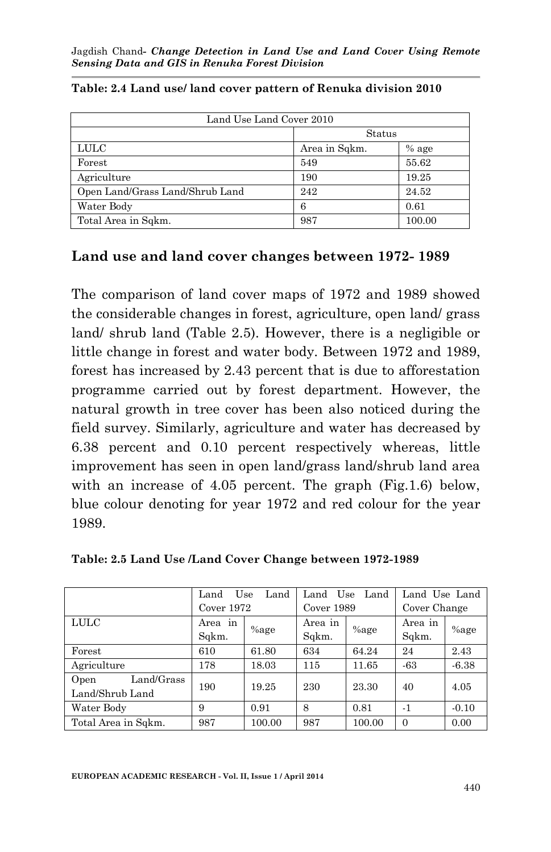| Land Use Land Cover 2010        |                          |        |  |  |  |
|---------------------------------|--------------------------|--------|--|--|--|
|                                 |                          | Status |  |  |  |
| <b>LULC</b>                     | Area in Sqkm.<br>$%$ age |        |  |  |  |
| Forest                          | 549                      | 55.62  |  |  |  |
| Agriculture                     | 190                      | 19.25  |  |  |  |
| Open Land/Grass Land/Shrub Land | 242                      | 24.52  |  |  |  |
| Water Body                      | 6                        | 0.61   |  |  |  |
| Total Area in Sqkm.             | 987                      | 100.00 |  |  |  |

**Table: 2.4 Land use/ land cover pattern of Renuka division 2010**

## **Land use and land cover changes between 1972- 1989**

The comparison of land cover maps of 1972 and 1989 showed the considerable changes in forest, agriculture, open land/ grass land/ shrub land (Table 2.5). However, there is a negligible or little change in forest and water body. Between 1972 and 1989, forest has increased by 2.43 percent that is due to afforestation programme carried out by forest department. However, the natural growth in tree cover has been also noticed during the field survey. Similarly, agriculture and water has decreased by 6.38 percent and 0.10 percent respectively whereas, little improvement has seen in open land/grass land/shrub land area with an increase of 4.05 percent. The graph (Fig.1.6) below, blue colour denoting for year 1972 and red colour for the year 1989.

|                                       | Use<br>Land<br>Land |         | Use<br>Land<br>Land |         | Land Use Land    |         |
|---------------------------------------|---------------------|---------|---------------------|---------|------------------|---------|
|                                       | Cover $1972$        |         | Cover 1989          |         | Cover Change     |         |
| <b>LULC</b>                           | Area<br>in<br>Sqkm. | $%$ age | Area in<br>Sqkm.    | $%$ age | Area in<br>Sqkm. | $%$ age |
| $\rm Forest$                          | 610                 | 61.80   | 634                 | 64.24   | 24               | 2.43    |
| Agriculture                           | 178                 | 18.03   | 115                 | 11.65   | $-63$            | $-6.38$ |
| Land/Grass<br>Open<br>Land/Shrub Land | 190                 | 19.25   | 230                 | 23.30   | 40               | 4.05    |
| Water Body                            | 9                   | 0.91    | 8                   | 0.81    | $-1$             | $-0.10$ |
| Total Area in Sqkm.                   | 987                 | 100.00  | 987                 | 100.00  | $\Omega$         | 0.00    |

**Table: 2.5 Land Use /Land Cover Change between 1972-1989**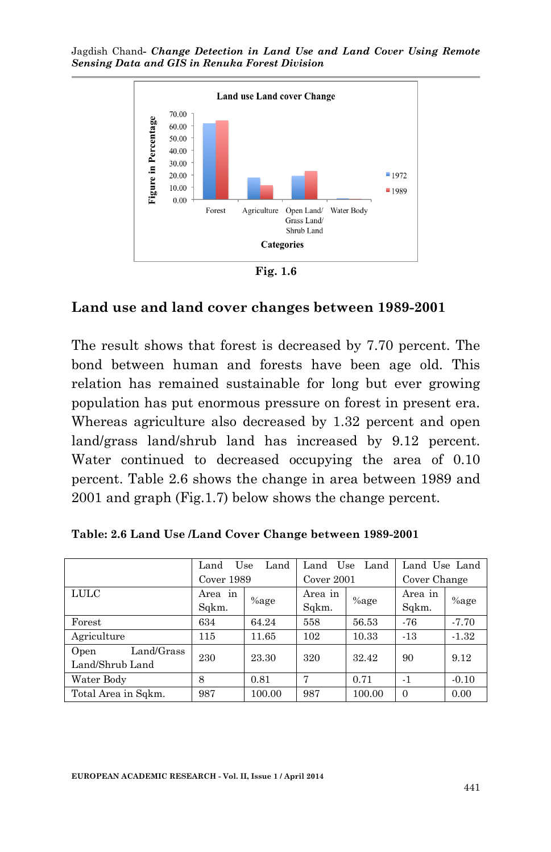

**Fig. 1.6**

#### **Land use and land cover changes between 1989-2001**

The result shows that forest is decreased by 7.70 percent. The bond between human and forests have been age old. This relation has remained sustainable for long but ever growing population has put enormous pressure on forest in present era. Whereas agriculture also decreased by 1.32 percent and open land/grass land/shrub land has increased by 9.12 percent. Water continued to decreased occupying the area of 0.10 percent. Table 2.6 shows the change in area between 1989 and 2001 and graph (Fig.1.7) below shows the change percent.

|                     | Land<br>Use<br>Land |          | Land<br>Land<br>Use |         | Land Use Land |         |
|---------------------|---------------------|----------|---------------------|---------|---------------|---------|
|                     | Cover 1989          |          | Cover 2001          |         | Cover Change  |         |
| <b>LULC</b>         | in<br>Area          | $\%$ age | Area in             | $%$ age | Area in       | $%$ age |
|                     | Sqkm.               |          | Sqkm.               |         | Sqkm.         |         |
| Forest              | 634                 | 64.24    | 558                 | 56.53   | $-76$         | $-7.70$ |
| Agriculture         | 115                 | 11.65    | 102                 | 10.33   | $-13$         | $-1.32$ |
| Land/Grass<br>Open  | 230                 | 23.30    | 320                 | 32.42   | 90            | 9.12    |
| Land/Shrub Land     |                     |          |                     |         |               |         |
| Water Body          | 8                   | 0.81     | 7                   | 0.71    | $-1$          | $-0.10$ |
| Total Area in Sqkm. | 987                 | 100.00   | 987                 | 100.00  | $\Omega$      | 0.00    |

**Table: 2.6 Land Use /Land Cover Change between 1989-2001**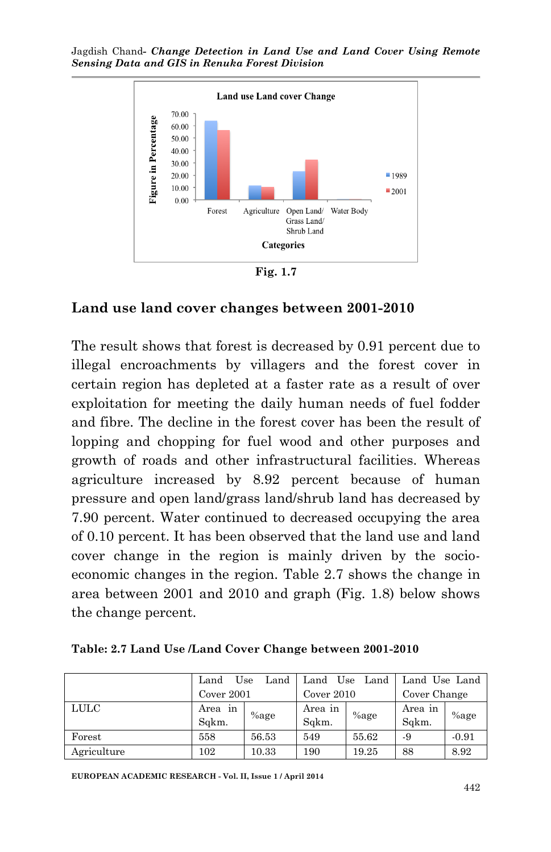

**Fig. 1.7**

### **Land use land cover changes between 2001-2010**

The result shows that forest is decreased by 0.91 percent due to illegal encroachments by villagers and the forest cover in certain region has depleted at a faster rate as a result of over exploitation for meeting the daily human needs of fuel fodder and fibre. The decline in the forest cover has been the result of lopping and chopping for fuel wood and other purposes and growth of roads and other infrastructural facilities. Whereas agriculture increased by 8.92 percent because of human pressure and open land/grass land/shrub land has decreased by 7.90 percent. Water continued to decreased occupying the area of 0.10 percent. It has been observed that the land use and land cover change in the region is mainly driven by the socioeconomic changes in the region. Table 2.7 shows the change in area between 2001 and 2010 and graph (Fig. 1.8) below shows the change percent.

|             | Land                | Use<br>Land | Land             | Use<br>Land | Land Use Land    |         |
|-------------|---------------------|-------------|------------------|-------------|------------------|---------|
|             | Cover 2001          |             | Cover $2010$     |             | Cover Change     |         |
| LULC        | in<br>Area<br>Sakm. | $%$ age     | Area in<br>Sqkm. | $%$ age     | Area in<br>Sqkm. | $%$ age |
| Forest      | 558                 | 56.53       | 549              | 55.62       | -9               | $-0.91$ |
| Agriculture | 102                 | 10.33       | 190              | 19.25       | 88               | 8.92    |

**EUROPEAN ACADEMIC RESEARCH - Vol. II, Issue 1 / April 2014**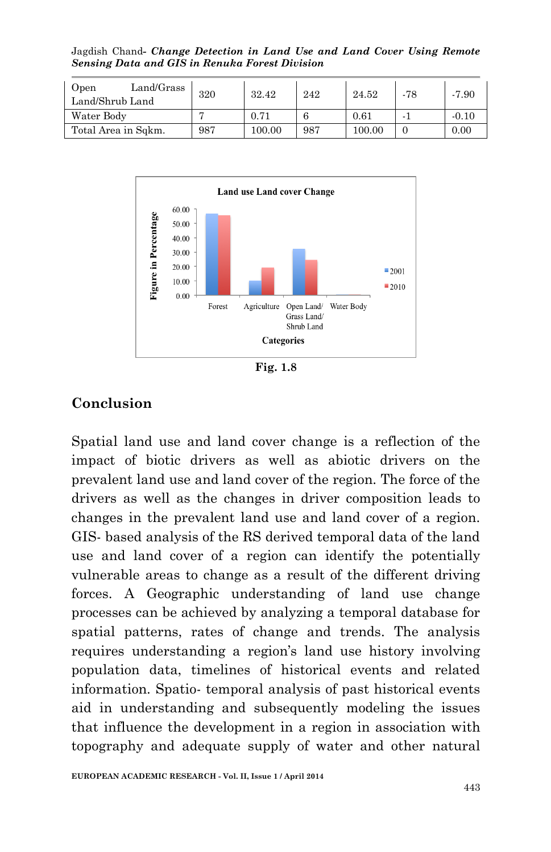Jagdish Chand*- Change Detection in Land Use and Land Cover Using Remote Sensing Data and GIS in Renuka Forest Division*

| Land/Grass<br>Open<br>Land/Shrub Land | 320 | 32.42      | 242 | 24.52  | -78 | $-7.90$ |
|---------------------------------------|-----|------------|-----|--------|-----|---------|
| Water Body                            |     | 0.71       |     | 0.61   |     | $-0.10$ |
| Total Area in Sqkm.                   | 987 | $100.00\,$ | 987 | 100.00 |     | 0.00    |



**Fig. 1.8**

## **Conclusion**

Spatial land use and land cover change is a reflection of the impact of biotic drivers as well as abiotic drivers on the prevalent land use and land cover of the region. The force of the drivers as well as the changes in driver composition leads to changes in the prevalent land use and land cover of a region. GIS- based analysis of the RS derived temporal data of the land use and land cover of a region can identify the potentially vulnerable areas to change as a result of the different driving forces. A Geographic understanding of land use change processes can be achieved by analyzing a temporal database for spatial patterns, rates of change and trends. The analysis requires understanding a region's land use history involving population data, timelines of historical events and related information. Spatio- temporal analysis of past historical events aid in understanding and subsequently modeling the issues that influence the development in a region in association with topography and adequate supply of water and other natural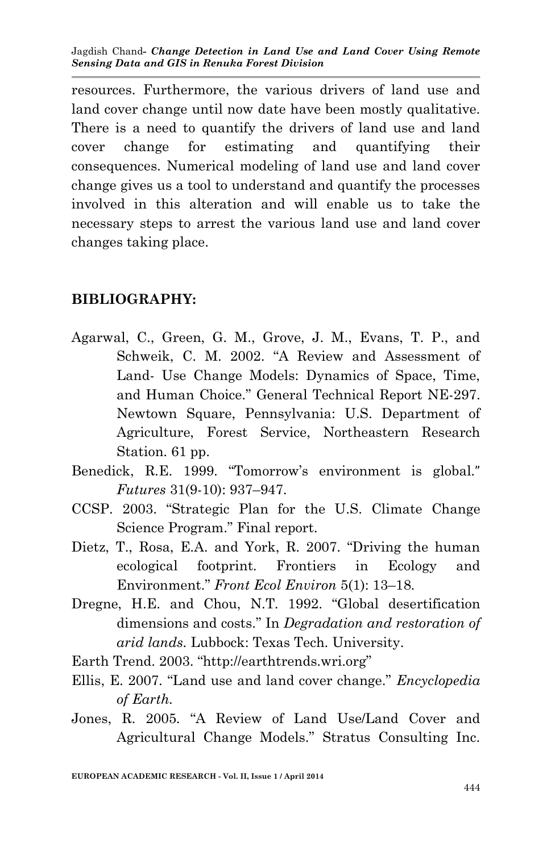resources. Furthermore, the various drivers of land use and land cover change until now date have been mostly qualitative. There is a need to quantify the drivers of land use and land cover change for estimating and quantifying their consequences. Numerical modeling of land use and land cover change gives us a tool to understand and quantify the processes involved in this alteration and will enable us to take the necessary steps to arrest the various land use and land cover changes taking place.

## **BIBLIOGRAPHY:**

- Agarwal, C., Green, G. M., Grove, J. M., Evans, T. P., and Schweik, C. M. 2002. "A Review and Assessment of Land- Use Change Models: Dynamics of Space, Time, and Human Choice." General Technical Report NE-297. Newtown Square, Pennsylvania: U.S. Department of Agriculture, Forest Service, Northeastern Research Station. 61 pp.
- Benedick, R.E. 1999. "Tomorrow's environment is global." *Futures* 31(9-10): 937–947.
- CCSP. 2003. "Strategic Plan for the U.S. Climate Change Science Program." Final report.
- Dietz, T., Rosa, E.A. and York, R. 2007. "Driving the human ecological footprint. Frontiers in Ecology and Environment." *Front Ecol Environ* 5(1): 13–18.
- Dregne, H.E. and Chou, N.T. 1992. "Global desertification dimensions and costs." In *Degradation and restoration of arid lands.* Lubbock: Texas Tech. University.
- Earth Trend. 2003. "http://earthtrends.wri.org"
- Ellis, E. 2007. "Land use and land cover change." *Encyclopedia of Earth.*
- Jones, R. 2005. "A Review of Land Use/Land Cover and Agricultural Change Models." Stratus Consulting Inc.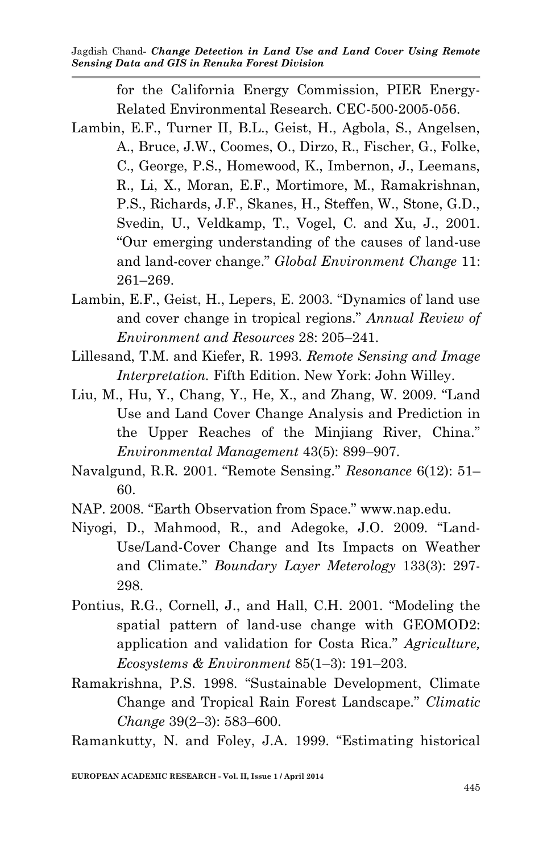> for the California Energy Commission, PIER Energy-Related Environmental Research. CEC-500-2005-056.

- Lambin, E.F., Turner II, B.L., Geist, H., Agbola, S., Angelsen, A., Bruce, J.W., Coomes, O., Dirzo, R., Fischer, G., Folke, C., George, P.S., Homewood, K., Imbernon, J., Leemans, R., Li, X., Moran, E.F., Mortimore, M., Ramakrishnan, P.S., Richards, J.F., Skanes, H., Steffen, W., Stone, G.D., Svedin, U., Veldkamp, T., Vogel, C. and Xu, J., 2001. "Our emerging understanding of the causes of land-use and land-cover change." *Global Environment Change* 11: 261–269.
- Lambin, E.F., Geist, H., Lepers, E. 2003. "Dynamics of land use and cover change in tropical regions." *Annual Review of Environment and Resources* 28: 205–241.
- Lillesand, T.M. and Kiefer, R. 1993. *Remote Sensing and Image Interpretation.* Fifth Edition. New York: John Willey.
- Liu, M., Hu, Y., Chang, Y., He, X., and Zhang, W. 2009. "Land Use and Land Cover Change Analysis and Prediction in the Upper Reaches of the Minjiang River, China." *Environmental Management* 43(5): 899–907.
- Navalgund, R.R. 2001. "Remote Sensing." *Resonance* 6(12): 51– 60.
- NAP. 2008. "Earth Observation from Space." www.nap.edu.
- Niyogi, D., Mahmood, R., and Adegoke, J.O. 2009. "Land-Use/Land-Cover Change and Its Impacts on Weather and Climate." *Boundary Layer Meterology* 133(3): 297- 298.
- Pontius, R.G., Cornell, J., and Hall, C.H. 2001. "Modeling the spatial pattern of land-use change with GEOMOD2: application and validation for Costa Rica." *Agriculture, Ecosystems & Environment* 85(1–3): 191–203.
- Ramakrishna, P.S. 1998. "Sustainable Development, Climate Change and Tropical Rain Forest Landscape." *Climatic Change* 39(2–3): 583–600.

Ramankutty, N. and Foley, J.A. 1999. "Estimating historical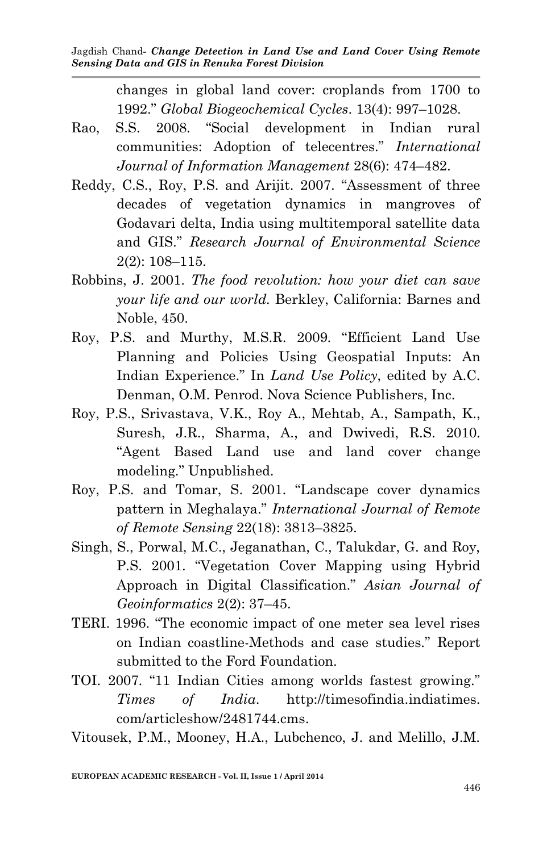changes in global land cover: croplands from 1700 to 1992." *Global Biogeochemical Cycles*. 13(4): 997–1028.

- Rao, S.S. 2008. "Social development in Indian rural communities: Adoption of telecentres." *International Journal of Information Management* 28(6): 474–482.
- Reddy, C.S., Roy, P.S. and Arijit. 2007. "Assessment of three decades of vegetation dynamics in mangroves of Godavari delta, India using multitemporal satellite data and GIS." *Research Journal of Environmental Science* 2(2): 108–115.
- Robbins, J. 2001. *The food revolution: how your diet can save your life and our world.* Berkley, California: Barnes and Noble, 450.
- Roy, P.S. and Murthy, M.S.R. 2009. "Efficient Land Use Planning and Policies Using Geospatial Inputs: An Indian Experience." In *Land Use Policy*, edited by A.C. Denman, O.M. Penrod. Nova Science Publishers, Inc.
- Roy, P.S., Srivastava, V.K., Roy A., Mehtab, A., Sampath, K., Suresh, J.R., Sharma, A., and Dwivedi, R.S. 2010. "Agent Based Land use and land cover change modeling." Unpublished.
- Roy, P.S. and Tomar, S. 2001. "Landscape cover dynamics pattern in Meghalaya." *International Journal of Remote of Remote Sensing* 22(18): 3813–3825.
- Singh, S., Porwal, M.C., Jeganathan, C., Talukdar, G. and Roy, P.S. 2001. "Vegetation Cover Mapping using Hybrid Approach in Digital Classification." *Asian Journal of Geoinformatics* 2(2): 37–45.
- TERI. 1996. "The economic impact of one meter sea level rises on Indian coastline-Methods and case studies." Report submitted to the Ford Foundation.
- TOI. 2007. "11 Indian Cities among worlds fastest growing." *Times of India*. http://timesofindia.indiatimes. com/articleshow/2481744.cms.

Vitousek, P.M., Mooney, H.A., Lubchenco, J. and Melillo, J.M.